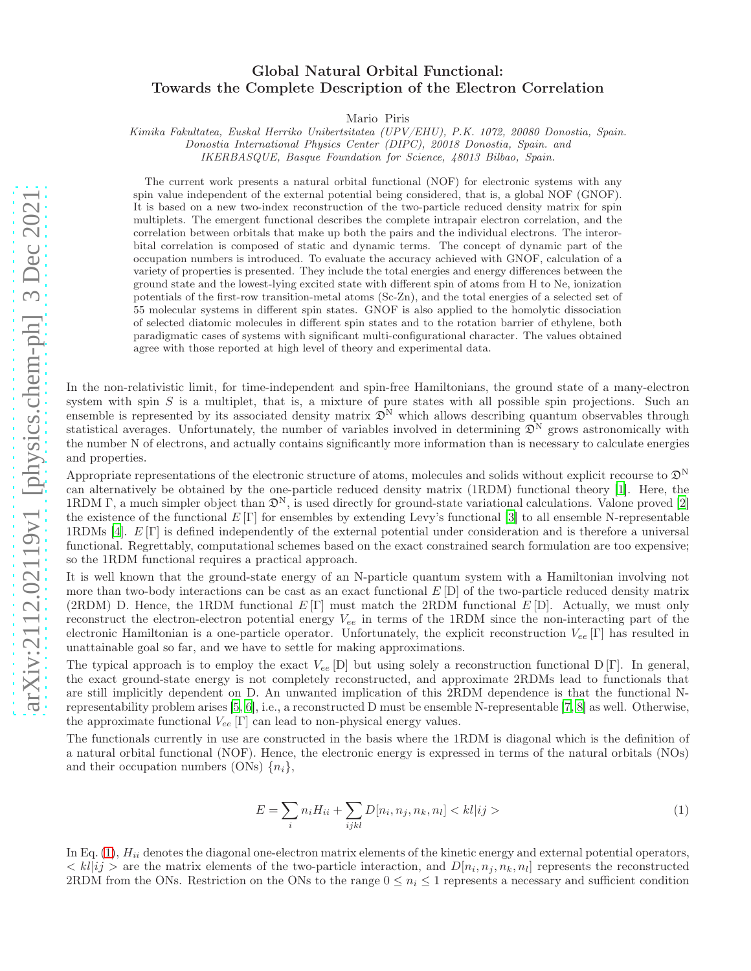## Global Natural Orbital Functional: Towards the Complete Description of the Electron Correlation

Mario Piris

Kimika Fakultatea, Euskal Herriko Unibertsitatea (UPV/EHU), P.K. 1072, 20080 Donostia, Spain. Donostia International Physics Center (DIPC), 20018 Donostia, Spain. and

IKERBASQUE, Basque Foundation for Science, 48013 Bilbao, Spain.

The current work presents a natural orbital functional (NOF) for electronic systems with any spin value independent of the external potential being considered, that is, a global NOF (GNOF). It is based on a new two-index reconstruction of the two-particle reduced density matrix for spin multiplets. The emergent functional describes the complete intrapair electron correlation, and the correlation between orbitals that make up both the pairs and the individual electrons. The interorbital correlation is composed of static and dynamic terms. The concept of dynamic part of the occupation numbers is introduced. To evaluate the accuracy achieved with GNOF, calculation of a variety of properties is presented. They include the total energies and energy differences between the ground state and the lowest-lying excited state with different spin of atoms from H to Ne, ionization potentials of the first-row transition-metal atoms (Sc-Zn), and the total energies of a selected set of 55 molecular systems in different spin states. GNOF is also applied to the homolytic dissociation of selected diatomic molecules in different spin states and to the rotation barrier of ethylene, both paradigmatic cases of systems with significant multi-configurational character. The values obtained agree with those reported at high level of theory and experimental data.

In the non-relativistic limit, for time-independent and spin-free Hamiltonians, the ground state of a many-electron system with spin  $S$  is a multiplet, that is, a mixture of pure states with all possible spin projections. Such an ensemble is represented by its associated density matrix  $\mathfrak{D}^N$  which allows describing quantum observables through statistical averages. Unfortunately, the number of variables involved in determining  $\mathfrak{D}^N$  grows astronomically with the number N of electrons, and actually contains significantly more information than is necessary to calculate energies and properties.

Appropriate representations of the electronic structure of atoms, molecules and solids without explicit recourse to  $\mathfrak{D}^N$ can alternatively be obtained by the one-particle reduced density matrix (1RDM) functional theory [\[1\]](#page-5-0). Here, the 1RDM Γ, a much simpler object than  $\mathfrak{D}^N$ , is used directly for ground-state variational calculations. Valone proved [\[2](#page-5-1)] the existence of the functional  $E[\Gamma]$  for ensembles by extending Levy's functional [\[3\]](#page-5-2) to all ensemble N-representable 1RDMs [\[4](#page-5-3)]. E [Γ] is defined independently of the external potential under consideration and is therefore a universal functional. Regrettably, computational schemes based on the exact constrained search formulation are too expensive; so the 1RDM functional requires a practical approach.

It is well known that the ground-state energy of an N-particle quantum system with a Hamiltonian involving not more than two-body interactions can be cast as an exact functional  $E[D]$  of the two-particle reduced density matrix (2RDM) D. Hence, the 1RDM functional  $E[\Gamma]$  must match the 2RDM functional  $E[D]$ . Actually, we must only reconstruct the electron-electron potential energy  $V_{ee}$  in terms of the 1RDM since the non-interacting part of the electronic Hamiltonian is a one-particle operator. Unfortunately, the explicit reconstruction  $V_{ee}$  [Γ] has resulted in unattainable goal so far, and we have to settle for making approximations.

The typical approach is to employ the exact  $V_{ee}$  [D] but using solely a reconstruction functional D [Γ]. In general, the exact ground-state energy is not completely reconstructed, and approximate 2RDMs lead to functionals that are still implicitly dependent on D. An unwanted implication of this 2RDM dependence is that the functional Nrepresentability problem arises [\[5](#page-5-4), [6](#page-5-5)], i.e., a reconstructed D must be ensemble N-representable [\[7](#page-5-6), [8\]](#page-5-7) as well. Otherwise, the approximate functional  $V_{ee}$  [Γ] can lead to non-physical energy values.

The functionals currently in use are constructed in the basis where the 1RDM is diagonal which is the definition of a natural orbital functional (NOF). Hence, the electronic energy is expressed in terms of the natural orbitals (NOs) and their occupation numbers (ONs)  $\{n_i\}$ ,

<span id="page-0-0"></span>
$$
E = \sum_{i} n_i H_{ii} + \sum_{ijkl} D[n_i, n_j, n_k, n_l] < kl \, |ij \rangle \tag{1}
$$

In Eq.  $(1)$ ,  $H_{ii}$  denotes the diagonal one-electron matrix elements of the kinetic energy and external potential operators,  $\langle k|ij\rangle$  are the matrix elements of the two-particle interaction, and  $D[n_i, n_j, n_k, n_l]$  represents the reconstructed 2RDM from the ONs. Restriction on the ONs to the range  $0 \leq n_i \leq 1$  represents a necessary and sufficient condition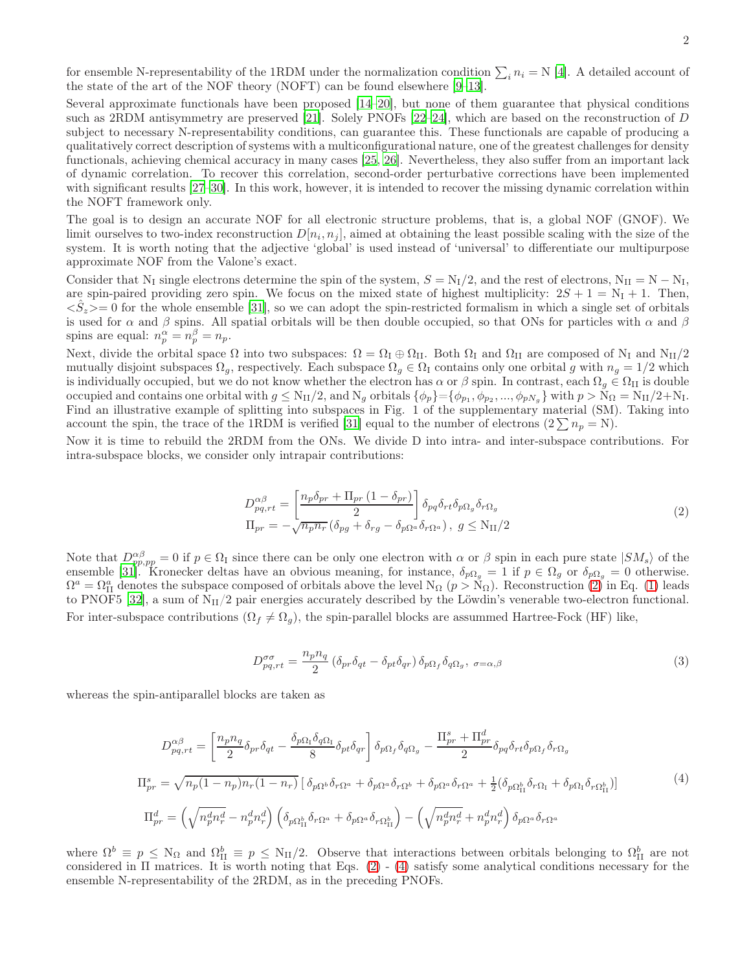for ensemble N-representability of the 1RDM under the normalization condition  $\sum_i n_i = N$  [\[4\]](#page-5-3). A detailed account of the state of the art of the NOF theory (NOFT) can be found elsewhere [\[9](#page-5-8)[–13\]](#page-5-9).

Several approximate functionals have been proposed [\[14](#page-5-10)[–20\]](#page-6-0), but none of them guarantee that physical conditions such as 2RDM antisymmetry are preserved [\[21\]](#page-6-1). Solely PNOFs [\[22](#page-6-2)[–24\]](#page-6-3), which are based on the reconstruction of D subject to necessary N-representability conditions, can guarantee this. These functionals are capable of producing a qualitatively correct description of systems with a multiconfigurational nature, one of the greatest challenges for density functionals, achieving chemical accuracy in many cases [\[25,](#page-6-4) [26](#page-6-5)]. Nevertheless, they also suffer from an important lack of dynamic correlation. To recover this correlation, second-order perturbative corrections have been implemented with significant results  $[27-30]$ . In this work, however, it is intended to recover the missing dynamic correlation within the NOFT framework only.

The goal is to design an accurate NOF for all electronic structure problems, that is, a global NOF (GNOF). We limit ourselves to two-index reconstruction  $D[n_i, n_j]$ , aimed at obtaining the least possible scaling with the size of the system. It is worth noting that the adjective 'global' is used instead of 'universal' to differentiate our multipurpose approximate NOF from the Valone's exact.

Consider that N<sub>I</sub> single electrons determine the spin of the system,  $S = N_I/2$ , and the rest of electrons,  $N_{II} = N - N_I$ , are spin-paired providing zero spin. We focus on the mixed state of highest multiplicity:  $2S + 1 = N<sub>I</sub> + 1$ . Then,  $\langle S_z \rangle = 0$  for the whole ensemble [\[31\]](#page-6-8), so we can adopt the spin-restricted formalism in which a single set of orbitals is used for  $\alpha$  and  $\beta$  spins. All spatial orbitals will be then double occupied, so that ONs for particles with  $\alpha$  and  $\beta$ spins are equal:  $n_p^{\alpha} = n_p^{\beta} = n_p$ .

Next, divide the orbital space  $\Omega$  into two subspaces:  $\Omega = \Omega_I \oplus \Omega_{II}$ . Both  $\Omega_I$  and  $\Omega_{II}$  are composed of N<sub>I</sub> and N<sub>II</sub>/2 mutually disjoint subspaces  $\Omega_g$ , respectively. Each subspace  $\Omega_g \in \Omega_I$  contains only one orbital g with  $n_g = 1/2$  which is individually occupied, but we do not know whether the electron has  $\alpha$  or  $\beta$  spin. In contrast, each  $\Omega_g \in \Omega_{II}$  is double occupied and contains one orbital with  $g \le N_{II}/2$ , and  $N_g$  orbitals  $\{\phi_p\} = \{\phi_{p_1}, \phi_{p_2}, ..., \phi_{pN_g}\}\$  with  $p > N_{\Omega} = N_{II}/2 + N_I$ . Find an illustrative example of splitting into subspaces in Fig. 1 of the supplementary material (SM). Taking into account the spin, the trace of the 1RDM is verified [\[31](#page-6-8)] equal to the number of electrons  $(2 \sum n_p = N)$ .

Now it is time to rebuild the 2RDM from the ONs. We divide D into intra- and inter-subspace contributions. For intra-subspace blocks, we consider only intrapair contributions:

<span id="page-1-0"></span>
$$
D_{pq,rt}^{\alpha\beta} = \left[\frac{n_p \delta_{pr} + \Pi_{pr} (1 - \delta_{pr})}{2}\right] \delta_{pq} \delta_{rt} \delta_{p\Omega_g} \delta_{r\Omega_g}
$$
  
\n
$$
\Pi_{pr} = -\sqrt{n_p n_r} (\delta_{pg} + \delta_{rg} - \delta_{p\Omega_a} \delta_{r\Omega_a}), \ g \le \text{N}_{\text{II}}/2
$$
\n(2)

Note that  $D^{\alpha\beta}_{pp,pp} = 0$  if  $p \in \Omega$ <sub>I</sub> since there can be only one electron with  $\alpha$  or  $\beta$  spin in each pure state  $|SM_s\rangle$  of the ensemble [\[31\]](#page-6-8). Kronecker deltas have an obvious meaning, for instance,  $\delta_{p\Omega_g} = 1$  if  $p \in \Omega_g$  or  $\delta_{p\Omega_g} = 0$  otherwise.  $\Omega^a = \Omega^a_{II}$  denotes the subspace composed of orbitals above the level  $N_{\Omega}$   $(p > N_{\Omega})$ . Reconstruction  $(2)$  $(2)$  in Eq. [\(1\)](#page-0-0) leads to PNOF5 [\[32\]](#page-6-9), a sum of  $N_{II}/2$  pair energies accurately described by the Löwdin's venerable two-electron functional. For inter-subspace contributions  $(\Omega_f \neq \Omega_g)$ , the spin-parallel blocks are assummed Hartree-Fock (HF) like,

<span id="page-1-2"></span>
$$
D_{pq,rt}^{\sigma\sigma} = \frac{n_p n_q}{2} \left( \delta_{pr} \delta_{qt} - \delta_{pt} \delta_{qr} \right) \delta_{p\Omega_f} \delta_{q\Omega_g}, \ \sigma = \alpha, \beta \tag{3}
$$

whereas the spin-antiparallel blocks are taken as

<span id="page-1-1"></span>
$$
D_{pq,rt}^{\alpha\beta} = \left[\frac{n_p n_q}{2} \delta_{pr} \delta_{qt} - \frac{\delta_{p\Omega_1} \delta_{q\Omega_1}}{8} \delta_{pt} \delta_{qr}\right] \delta_{p\Omega_f} \delta_{q\Omega_g} - \frac{\Pi_{pr}^s + \Pi_{pr}^d}{2} \delta_{pq} \delta_{rt} \delta_{p\Omega_f} \delta_{r\Omega_g}
$$
  
\n
$$
\Pi_{pr}^s = \sqrt{n_p (1 - n_p) n_r (1 - n_r)} \left[ \delta_{p\Omega^b} \delta_{r\Omega^a} + \delta_{p\Omega^a} \delta_{r\Omega^b} + \delta_{p\Omega^a} \delta_{r\Omega^a} + \frac{1}{2} (\delta_{p\Omega_{11}^b} \delta_{r\Omega_1} + \delta_{p\Omega_1} \delta_{r\Omega_{11}^b}) \right]
$$
\n
$$
\Pi_{pr}^d = \left(\sqrt{n_p^d n_r^d} - n_p^d n_r^d\right) \left(\delta_{p\Omega_{11}^b} \delta_{r\Omega^a} + \delta_{p\Omega^a} \delta_{r\Omega_{11}^b}\right) - \left(\sqrt{n_p^d n_r^d} + n_p^d n_r^d\right) \delta_{p\Omega^a} \delta_{r\Omega^a} \tag{4}
$$

where  $\Omega^b \equiv p \leq N_{\Omega}$  and  $\Omega_{\Pi}^b \equiv p \leq N_{\Pi}/2$ . Observe that interactions between orbitals belonging to  $\Omega_{\Pi}^b$  are not considered in  $\Pi$  matrices. It is worth noting that Eqs. ([2\)](#page-1-0) - ([4\)](#page-1-1) satisfy some analytical conditions necessary for the ensemble N-representability of the 2RDM, as in the preceding PNOFs.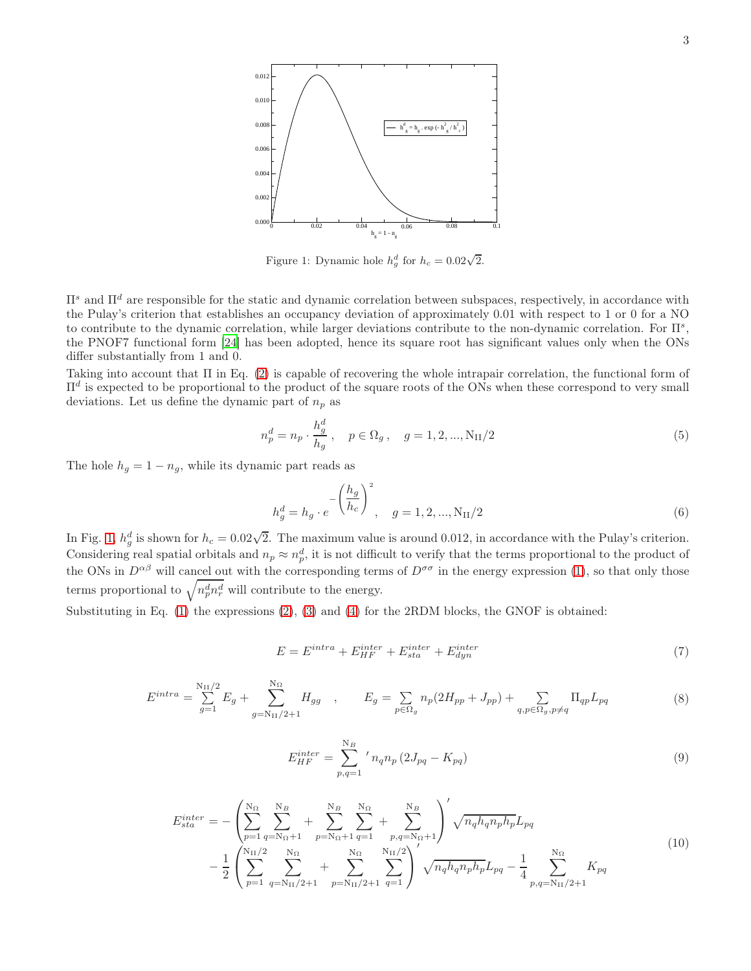

Figure 1: Dynamic hole  $h_g^d$  for  $h_c = 0.02\sqrt{2}$ .

 $\Pi^s$  and  $\Pi^d$  are responsible for the static and dynamic correlation between subspaces, respectively, in accordance with the Pulay's criterion that establishes an occupancy deviation of approximately 0.01 with respect to 1 or 0 for a NO to contribute to the dynamic correlation, while larger deviations contribute to the non-dynamic correlation. For  $\Pi^s$ , the PNOF7 functional form [\[24](#page-6-3)] has been adopted, hence its square root has significant values only when the ONs differ substantially from 1 and 0.

Taking into account that Π in Eq. [\(2\)](#page-1-0) is capable of recovering the whole intrapair correlation, the functional form of  $\Pi^d$  is expected to be proportional to the product of the square roots of the ONs when these correspond to very small deviations. Let us define the dynamic part of  $n_p$  as

$$
n_p^d = n_p \cdot \frac{h_g^d}{h_g} \,, \quad p \in \Omega_g \,, \quad g = 1, 2, ..., N_{\text{II}}/2 \tag{5}
$$

The hole  $h_g = 1 - n_g$ , while its dynamic part reads as

$$
h_g^d = h_g \cdot e^{-\left(\frac{h_g}{h_c}\right)^2}, \quad g = 1, 2, ..., N_{\text{II}}/2
$$
 (6)

In Fig. [1,](#page-6-10)  $h_g^d$  is shown for  $h_c = 0.02\sqrt{2}$ . The maximum value is around 0.012, in accordance with the Pulay's criterion. Considering real spatial orbitals and  $n_p \approx n_p^d$ , it is not difficult to verify that the terms proportional to the product of the ONs in  $D^{\alpha\beta}$  will cancel out with the corresponding terms of  $D^{\sigma\sigma}$  in the energy expression [\(1\)](#page-0-0), so that only those terms proportional to  $\sqrt{n_p^d n_r^d}$  will contribute to the energy.

Substituting in Eq. [\(1\)](#page-0-0) the expressions [\(2\)](#page-1-0), [\(3\)](#page-1-2) and [\(4\)](#page-1-1) for the 2RDM blocks, the GNOF is obtained:

$$
E = E^{intra} + E_{HF}^{inter} + E_{sta}^{inter} + E_{dyn}^{inter}
$$
\n
$$
\tag{7}
$$

$$
E^{intra} = \sum_{g=1}^{N_{II}/2} E_g + \sum_{g=N_{II}/2+1}^{N_{\Omega}} H_{gg} , \qquad E_g = \sum_{p \in \Omega_g} n_p (2H_{pp} + J_{pp}) + \sum_{q,p \in \Omega_g, p \neq q} \Pi_{qp} L_{pq}
$$
(8)

$$
E_{HF}^{inter} = \sum_{p,q=1}^{N_B} 'n_q n_p (2J_{pq} - K_{pq})
$$
\n(9)

$$
E_{sta}^{inter} = -\left(\sum_{p=1}^{N_{\Omega}} \sum_{q=N_{\Omega}+1}^{N_{B}} + \sum_{p=N_{\Omega}+1}^{N_{B}} \sum_{q=1}^{N_{\Omega}} + \sum_{p,q=N_{\Omega}+1}^{N_{B}} \right)' \sqrt{n_{q}h_{q}n_{p}h_{p}} L_{pq}
$$
  

$$
- \frac{1}{2} \left(\sum_{p=1}^{N_{\Omega}/2} \sum_{q=N_{\Omega}/2+1}^{N_{\Omega}} + \sum_{p=N_{\Omega}/2+1}^{N_{\Omega}} \sum_{q=1}^{N_{\Omega}/2} \right)' \sqrt{n_{q}h_{q}n_{p}h_{p}} L_{pq} - \frac{1}{4} \sum_{p,q=N_{\Omega}/2+1}^{N_{\Omega}} K_{pq}
$$
(10)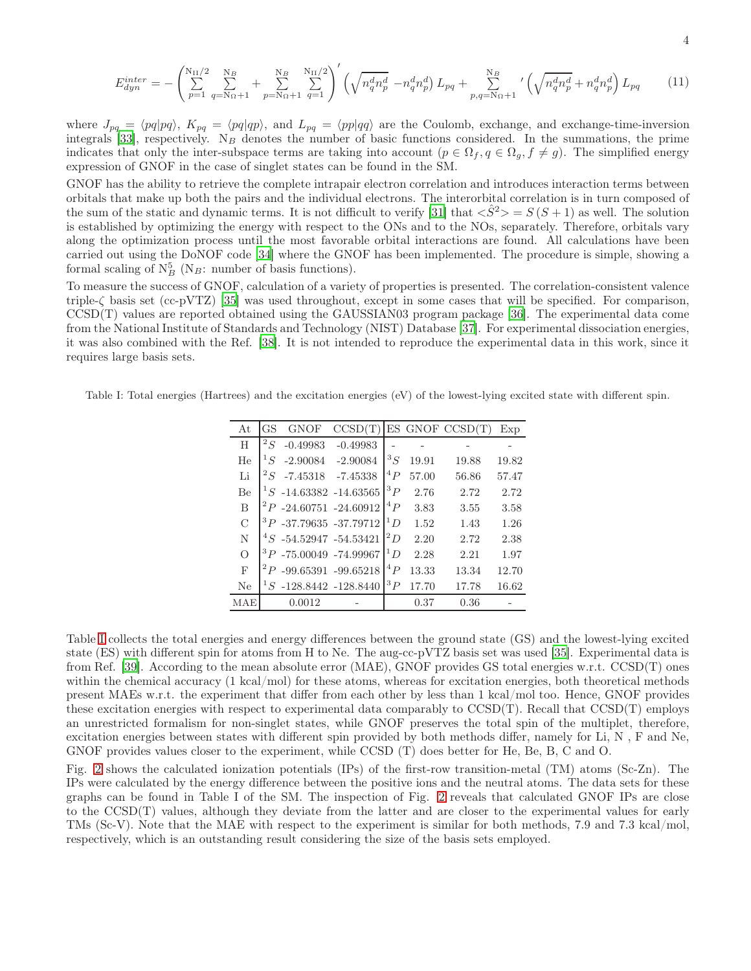$$
E_{dyn}^{inter} = -\left(\sum_{p=1}^{N_{II}/2} \sum_{q=N_{\Omega}+1}^{N_{B}} + \sum_{p=N_{\Omega}+1}^{N_{II}} \sum_{q=1}^{N_{II}/2} \right)' \left(\sqrt{n_{q}^{d} n_{p}^{d}} - n_{q}^{d} n_{p}^{d}\right) L_{pq} + \sum_{p,q=N_{\Omega}+1}^{N_{B}} \left(\sqrt{n_{q}^{d} n_{p}^{d}} + n_{q}^{d} n_{p}^{d}\right) L_{pq} \tag{11}
$$

where  $J_{pq} = \langle pq|pq\rangle$ ,  $K_{pq} = \langle pq|qp\rangle$ , and  $L_{pq} = \langle pp|qq\rangle$  are the Coulomb, exchange, and exchange-time-inversion integrals [\[33](#page-6-11)], respectively.  $N_B$  denotes the number of basic functions considered. In the summations, the prime indicates that only the inter-subspace terms are taking into account  $(p \in \Omega_f, q \in \Omega_g, f \neq g)$ . The simplified energy expression of GNOF in the case of singlet states can be found in the SM.

GNOF has the ability to retrieve the complete intrapair electron correlation and introduces interaction terms between orbitals that make up both the pairs and the individual electrons. The interorbital correlation is in turn composed of the sum of the static and dynamic terms. It is not difficult to verify [\[31\]](#page-6-8) that  $\langle S^2 \rangle = S(S+1)$  as well. The solution is established by optimizing the energy with respect to the ONs and to the NOs, separately. Therefore, orbitals vary along the optimization process until the most favorable orbital interactions are found. All calculations have been carried out using the DoNOF code [\[34\]](#page-6-12) where the GNOF has been implemented. The procedure is simple, showing a formal scaling of  $N_B^5$  (N<sub>B</sub>: number of basis functions).

To measure the success of GNOF, calculation of a variety of properties is presented. The correlation-consistent valence triple-ζ basis set (cc-pVTZ) [\[35\]](#page-6-13) was used throughout, except in some cases that will be specified. For comparison, CCSD(T) values are reported obtained using the GAUSSIAN03 program package [\[36\]](#page-6-14). The experimental data come from the National Institute of Standards and Technology (NIST) Database [\[37](#page-6-15)]. For experimental dissociation energies, it was also combined with the Ref. [\[38\]](#page-6-16). It is not intended to reproduce the experimental data in this work, since it requires large basis sets.

Table I: Total energies (Hartrees) and the excitation energies (eV) of the lowest-lying excited state with different spin.

| At            | GS      | <b>GNOF</b>                 | CCSD(T)                       |             |       | ES GNOF CCSD(T) | Exp   |
|---------------|---------|-----------------------------|-------------------------------|-------------|-------|-----------------|-------|
| H             | ${}^2S$ | $-0.49983$                  | $-0.49983$                    |             |       |                 |       |
| He            | ${}^1S$ | $-2.90084$                  | $-2.90084$                    | $^3S$       | 19.91 | 19.88           | 19.82 |
| Li            | ${}^2S$ | $-7.45318$                  | $-7.45338$                    | ${}^4P$     | 57.00 | 56.86           | 57.47 |
| Be            |         |                             | $1S$ -14.63382 -14.63565      | ${}^3P$     | 2.76  | 2.72            | 2.72  |
| B             |         |                             | $^{2}P$ -24.60751 -24.60912   | $^{4}P$     | 3.83  | 3.55            | 3.58  |
| $\mathcal{C}$ |         |                             | ${}^{3}P$ -37.79635 -37.79712 | $^1D$       | 1.52  | 1.43            | 1.26  |
| N             |         | $^{4}S$ -54.52947 -54.53421 |                               | $\cdot^2 D$ | 2.20  | 2.72            | 2.38  |
| $\Omega$      |         | $3P - 75.00049 - 74.99967$  |                               | ${}^1D$     | 2.28  | 2.21            | 1.97  |
| $\mathbf{F}$  |         |                             | $^{2}P$ -99.65391 -99.65218   | ${}^4P$     | 13.33 | 13.34           | 12.70 |
| Ne            |         |                             | $1S$ -128.8442 -128.8440      | ${}^3P$     | 17.70 | 17.78           | 16.62 |
| MAE           |         | 0.0012                      |                               |             | 0.37  | 0.36            |       |

Table [I](#page-7-0) collects the total energies and energy differences between the ground state (GS) and the lowest-lying excited state (ES) with different spin for atoms from H to Ne. The aug-cc-pVTZ basis set was used [\[35](#page-6-13)]. Experimental data is from Ref. [\[39\]](#page-6-17). According to the mean absolute error (MAE), GNOF provides GS total energies w.r.t. CCSD(T) ones within the chemical accuracy (1 kcal/mol) for these atoms, whereas for excitation energies, both theoretical methods present MAEs w.r.t. the experiment that differ from each other by less than 1 kcal/mol too. Hence, GNOF provides these excitation energies with respect to experimental data comparably to CCSD(T). Recall that CCSD(T) employs an unrestricted formalism for non-singlet states, while GNOF preserves the total spin of the multiplet, therefore, excitation energies between states with different spin provided by both methods differ, namely for Li, N , F and Ne, GNOF provides values closer to the experiment, while CCSD (T) does better for He, Be, B, C and O.

Fig. [2](#page-8-0) shows the calculated ionization potentials (IPs) of the first-row transition-metal (TM) atoms (Sc-Zn). The IPs were calculated by the energy difference between the positive ions and the neutral atoms. The data sets for these graphs can be found in Table I of the SM. The inspection of Fig. [2](#page-8-0) reveals that calculated GNOF IPs are close to the CCSD(T) values, although they deviate from the latter and are closer to the experimental values for early TMs (Sc-V). Note that the MAE with respect to the experiment is similar for both methods, 7.9 and 7.3 kcal/mol, respectively, which is an outstanding result considering the size of the basis sets employed.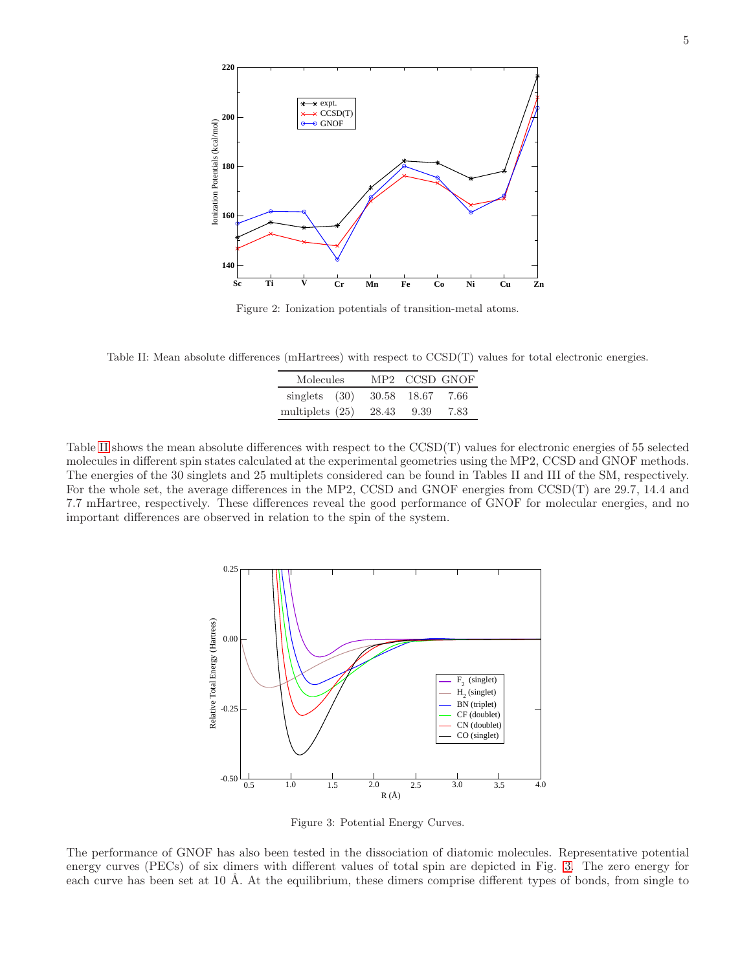

Figure 2: Ionization potentials of transition-metal atoms.

Table II: Mean absolute differences (mHartrees) with respect to CCSD(T) values for total electronic energies.

| Molecules         |       | MP2 CCSD GNOF |      |
|-------------------|-------|---------------|------|
| singlets $(30)$   | 30.58 | 18.67         | 7.66 |
| multiplets $(25)$ | 28.43 | 9.39          | 7.83 |

Table [II](#page-9-0) shows the mean absolute differences with respect to the CCSD(T) values for electronic energies of 55 selected molecules in different spin states calculated at the experimental geometries using the MP2, CCSD and GNOF methods. The energies of the 30 singlets and 25 multiplets considered can be found in Tables II and III of the SM, respectively. For the whole set, the average differences in the MP2, CCSD and GNOF energies from CCSD(T) are 29.7, 14.4 and 7.7 mHartree, respectively. These differences reveal the good performance of GNOF for molecular energies, and no important differences are observed in relation to the spin of the system.



Figure 3: Potential Energy Curves.

The performance of GNOF has also been tested in the dissociation of diatomic molecules. Representative potential energy curves (PECs) of six dimers with different values of total spin are depicted in Fig. [3.](#page-8-1) The zero energy for each curve has been set at 10 Å. At the equilibrium, these dimers comprise different types of bonds, from single to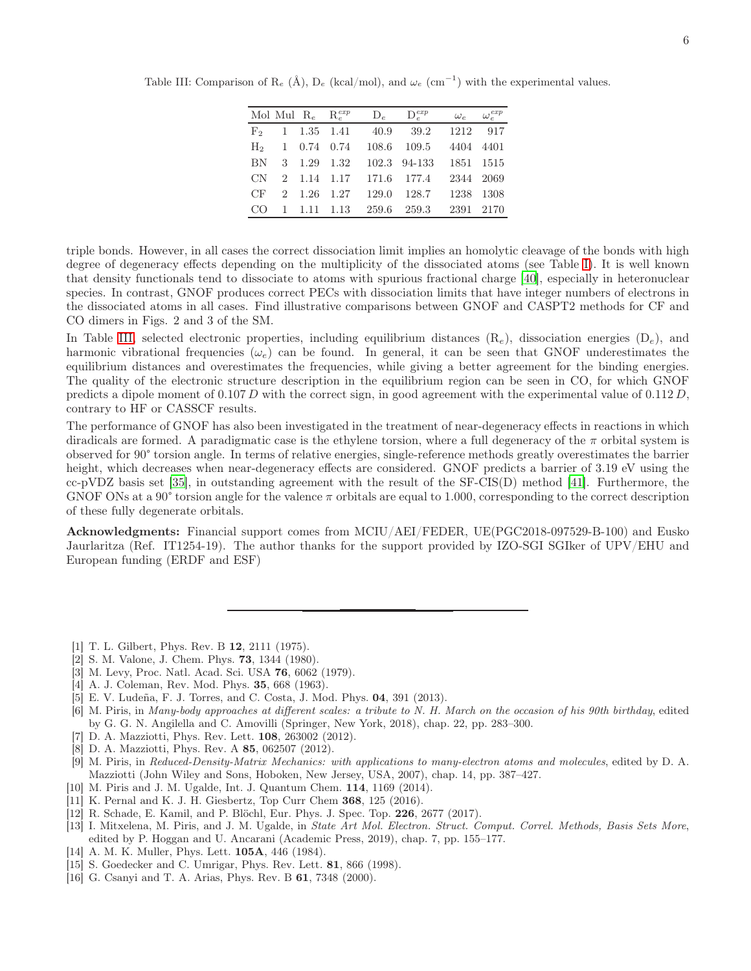|  | Mol Mul $R_e$ $R_e^{exp}$ |                                         | $D_e$ $D_e^{exp}$ | $\omega_e \hspace{2em} \omega_e^{exp}$ |  |
|--|---------------------------|-----------------------------------------|-------------------|----------------------------------------|--|
|  |                           | $F_2$ 1 1.35 1.41 40.9 39.2 1212 917    |                   |                                        |  |
|  |                           | $H_2$ 1 0.74 0.74 108.6 109.5 4404 4401 |                   |                                        |  |
|  |                           | BN 3 1.29 1.32 102.3 94-133 1851 1515   |                   |                                        |  |
|  |                           | CN 2 1.14 1.17 171.6 177.4              |                   | 2344 2069                              |  |
|  |                           | CF 2 1.26 1.27 129.0 128.7 1238 1308    |                   |                                        |  |
|  |                           | CO 1 1.11 1.13 259.6 259.3 2391 2170    |                   |                                        |  |

Table III: Comparison of  $\mathcal{R}_e$  (Å),  $\mathcal{D}_e$  (kcal/mol), and  $\omega_e$  (cm<sup>-1</sup>) with the experimental values.

triple bonds. However, in all cases the correct dissociation limit implies an homolytic cleavage of the bonds with high degree of degeneracy effects depending on the multiplicity of the dissociated atoms (see Table [I\)](#page-7-0). It is well known that density functionals tend to dissociate to atoms with spurious fractional charge [\[40](#page-6-18)], especially in heteronuclear species. In contrast, GNOF produces correct PECs with dissociation limits that have integer numbers of electrons in the dissociated atoms in all cases. Find illustrative comparisons between GNOF and CASPT2 methods for CF and CO dimers in Figs. 2 and 3 of the SM.

In Table [III,](#page-10-0) selected electronic properties, including equilibrium distances  $(R_e)$ , dissociation energies  $(D_e)$ , and harmonic vibrational frequencies  $(\omega_e)$  can be found. In general, it can be seen that GNOF underestimates the equilibrium distances and overestimates the frequencies, while giving a better agreement for the binding energies. The quality of the electronic structure description in the equilibrium region can be seen in CO, for which GNOF predicts a dipole moment of 0.107 D with the correct sign, in good agreement with the experimental value of  $0.112 D$ , contrary to HF or CASSCF results.

The performance of GNOF has also been investigated in the treatment of near-degeneracy effects in reactions in which diradicals are formed. A paradigmatic case is the ethylene torsion, where a full degeneracy of the  $\pi$  orbital system is observed for 90° torsion angle. In terms of relative energies, single-reference methods greatly overestimates the barrier height, which decreases when near-degeneracy effects are considered. GNOF predicts a barrier of 3.19 eV using the cc-pVDZ basis set [\[35\]](#page-6-13), in outstanding agreement with the result of the SF-CIS(D) method [\[41\]](#page-6-19). Furthermore, the GNOF ONs at a 90 $\degree$  torsion angle for the valence  $\pi$  orbitals are equal to 1.000, corresponding to the correct description of these fully degenerate orbitals.

Acknowledgments: Financial support comes from MCIU/AEI/FEDER, UE(PGC2018-097529-B-100) and Eusko Jaurlaritza (Ref. IT1254-19). The author thanks for the support provided by IZO-SGI SGIker of UPV/EHU and European funding (ERDF and ESF)

- <span id="page-5-0"></span>[1] T. L. Gilbert, Phys. Rev. B 12, 2111 (1975).
- <span id="page-5-1"></span>[2] S. M. Valone, J. Chem. Phys. 73, 1344 (1980).
- <span id="page-5-2"></span>[3] M. Levy, Proc. Natl. Acad. Sci. USA 76, 6062 (1979).
- <span id="page-5-3"></span>[4] A. J. Coleman, Rev. Mod. Phys. **35**, 668 (1963).
- <span id="page-5-4"></span>[5] E. V. Ludeña, F. J. Torres, and C. Costa, J. Mod. Phys. 04, 391 (2013).
- <span id="page-5-5"></span>[6] M. Piris, in Many-body approaches at different scales: a tribute to N. H. March on the occasion of his 90th birthday, edited by G. G. N. Angilella and C. Amovilli (Springer, New York, 2018), chap. 22, pp. 283–300.
- <span id="page-5-6"></span>[7] D. A. Mazziotti, Phys. Rev. Lett. 108, 263002 (2012).
- <span id="page-5-7"></span>[8] D. A. Mazziotti, Phys. Rev. A 85, 062507 (2012).
- <span id="page-5-8"></span>[9] M. Piris, in Reduced-Density-Matrix Mechanics: with applications to many-electron atoms and molecules, edited by D. A. Mazziotti (John Wiley and Sons, Hoboken, New Jersey, USA, 2007), chap. 14, pp. 387–427.
- [10] M. Piris and J. M. Ugalde, Int. J. Quantum Chem. **114**, 1169 (2014).
- [11] K. Pernal and K. J. H. Giesbertz, Top Curr Chem 368, 125 (2016).
- [12] R. Schade, E. Kamil, and P. Blöchl, Eur. Phys. J. Spec. Top. 226, 2677 (2017).
- <span id="page-5-9"></span>[13] I. Mitxelena, M. Piris, and J. M. Ugalde, in State Art Mol. Electron. Struct. Comput. Correl. Methods, Basis Sets More, edited by P. Hoggan and U. Ancarani (Academic Press, 2019), chap. 7, pp. 155–177.
- <span id="page-5-10"></span>[14] A. M. K. Muller, Phys. Lett. **105A**, 446 (1984).
- [15] S. Goedecker and C. Umrigar, Phys. Rev. Lett. **81**, 866 (1998).
- [16] G. Csanyi and T. A. Arias, Phys. Rev. B 61, 7348 (2000).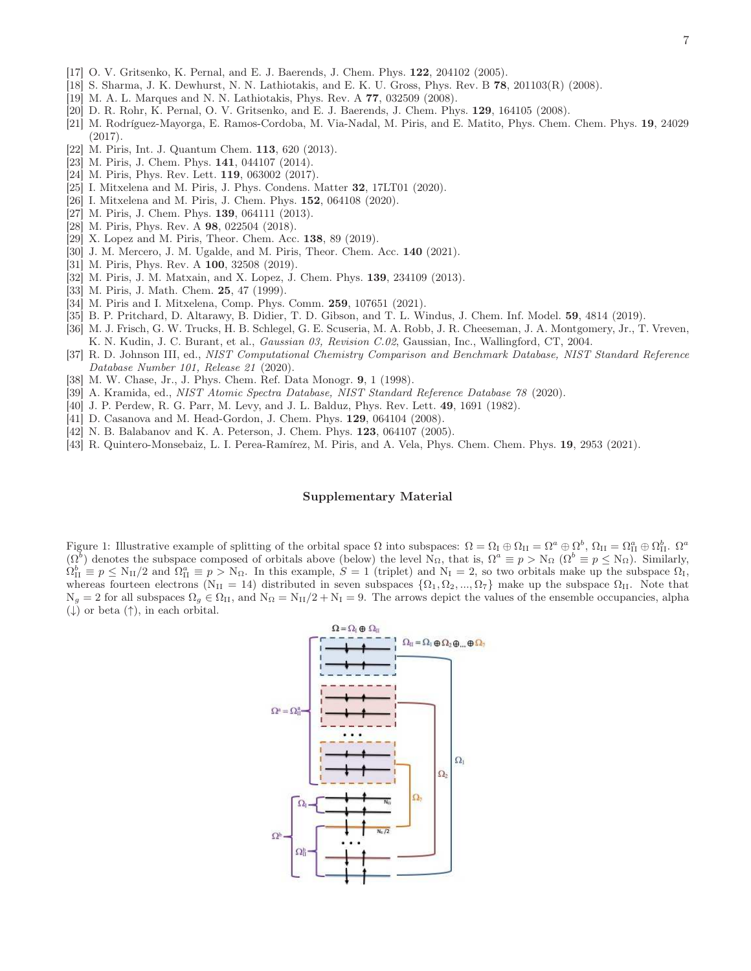- [17] O. V. Gritsenko, K. Pernal, and E. J. Baerends, J. Chem. Phys. 122, 204102 (2005).
- [18] S. Sharma, J. K. Dewhurst, N. N. Lathiotakis, and E. K. U. Gross, Phys. Rev. B 78, 201103(R) (2008).
- [19] M. A. L. Marques and N. N. Lathiotakis, Phys. Rev. A 77, 032509 (2008).
- <span id="page-6-0"></span>[20] D. R. Rohr, K. Pernal, O. V. Gritsenko, and E. J. Baerends, J. Chem. Phys. 129, 164105 (2008).
- <span id="page-6-1"></span>[21] M. Rodríguez-Mayorga, E. Ramos-Cordoba, M. Via-Nadal, M. Piris, and E. Matito, Phys. Chem. Chem. Phys. 19, 24029 (2017).
- <span id="page-6-2"></span>[22] M. Piris, Int. J. Quantum Chem. **113**, 620 (2013).
- [23] M. Piris, J. Chem. Phys. **141**, 044107 (2014).
- <span id="page-6-3"></span>[24] M. Piris, Phys. Rev. Lett. **119**, 063002 (2017).
- <span id="page-6-4"></span>[25] I. Mitxelena and M. Piris, J. Phys. Condens. Matter 32, 17LT01 (2020).
- <span id="page-6-5"></span>[26] I. Mitxelena and M. Piris, J. Chem. Phys. **152**, 064108 (2020).
- <span id="page-6-6"></span>[27] M. Piris, J. Chem. Phys. **139**, 064111 (2013).
- [28] M. Piris, Phys. Rev. A **98**, 022504 (2018).
- [29] X. Lopez and M. Piris, Theor. Chem. Acc. **138**, 89 (2019).
- <span id="page-6-7"></span>[30] J. M. Mercero, J. M. Ugalde, and M. Piris, Theor. Chem. Acc. 140 (2021).
- <span id="page-6-8"></span>[31] M. Piris, Phys. Rev. A **100**, 32508 (2019).
- <span id="page-6-9"></span>[32] M. Piris, J. M. Matxain, and X. Lopez, J. Chem. Phys. 139, 234109 (2013).
- <span id="page-6-11"></span>[33] M. Piris, J. Math. Chem. **25**, 47 (1999).
- <span id="page-6-12"></span>[34] M. Piris and I. Mitxelena, Comp. Phys. Comm. **259**, 107651 (2021).
- <span id="page-6-13"></span>[35] B. P. Pritchard, D. Altarawy, B. Didier, T. D. Gibson, and T. L. Windus, J. Chem. Inf. Model. 59, 4814 (2019).
- <span id="page-6-14"></span>[36] M. J. Frisch, G. W. Trucks, H. B. Schlegel, G. E. Scuseria, M. A. Robb, J. R. Cheeseman, J. A. Montgomery, Jr., T. Vreven, K. N. Kudin, J. C. Burant, et al., Gaussian 03, Revision C.02, Gaussian, Inc., Wallingford, CT, 2004.
- <span id="page-6-15"></span>[37] R. D. Johnson III, ed., NIST Computational Chemistry Comparison and Benchmark Database, NIST Standard Reference Database Number 101, Release 21 (2020).
- <span id="page-6-16"></span>[38] M. W. Chase, Jr., J. Phys. Chem. Ref. Data Monogr. 9, 1 (1998).
- <span id="page-6-17"></span>[39] A. Kramida, ed., NIST Atomic Spectra Database, NIST Standard Reference Database 78 (2020).
- <span id="page-6-18"></span>[40] J. P. Perdew, R. G. Parr, M. Levy, and J. L. Balduz, Phys. Rev. Lett. 49, 1691 (1982).
- <span id="page-6-19"></span>[41] D. Casanova and M. Head-Gordon, J. Chem. Phys. 129, 064104 (2008).
- <span id="page-6-20"></span>[42] N. B. Balabanov and K. A. Peterson, J. Chem. Phys. 123, 064107 (2005).
- <span id="page-6-21"></span>[43] R. Quintero-Monsebaiz, L. I. Perea-Ramírez, M. Piris, and A. Vela, Phys. Chem. Chem. Phys. 19, 2953 (2021).

## Supplementary Material

<span id="page-6-10"></span>Figure 1: Illustrative example of splitting of the orbital space  $\Omega$  into subspaces:  $\Omega = \Omega_{\rm I} \oplus \Omega_{\rm II} = \Omega^a \oplus \Omega^b$ ,  $\Omega_{\rm II} = \Omega_{\rm II}^a \oplus \Omega_{\rm II}^b$ .  $(\Omega^b)$  denotes the subspace composed of orbitals above (below) the level N<sub>Ω</sub>, that is,  $\Omega^a \equiv p > N_{\Omega}$  ( $\Omega^b \equiv p \le N_{\Omega}$ ). Similarly,  $\Omega_{\text{II}}^b \equiv p \leq N_{\text{II}}/2$  and  $\Omega_{\text{II}}^a \equiv p > N_{\Omega}$ . In this example,  $S = 1$  (triplet) and  $N_{\text{I}} = 2$ , so two orbitals make up the subspace  $\Omega_{\text{I}}$ , whereas fourteen electrons (N<sub>II</sub> = 14) distributed in seven subspaces  $\{\Omega_1, \Omega_2, ..., \Omega_7\}$  make up the subspace  $\Omega_{II}$ . Note that  $N_g = 2$  for all subspaces  $\Omega_g \in \Omega_{II}$ , and  $N_{\Omega} = N_{II}/2 + N_I = 9$ . The arrows depict the values of the ensemble occupancies, alpha  $(\downarrow)$  or beta  $(\uparrow)$ , in each orbital.

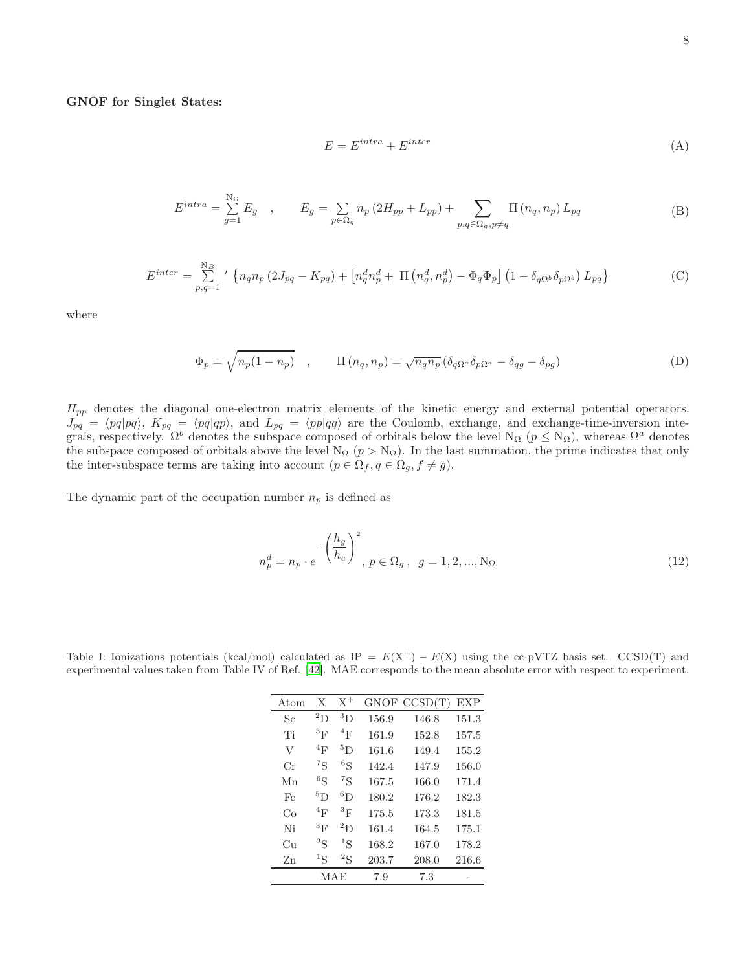## GNOF for Singlet States:

$$
E = E^{intra} + E^{inter}
$$
\n<sup>(A)</sup>

$$
E^{intra} = \sum_{g=1}^{N_{\Omega}} E_g , \qquad E_g = \sum_{p \in \Omega_g} n_p (2H_{pp} + L_{pp}) + \sum_{p,q \in \Omega_g, p \neq q} \Pi(n_q, n_p) L_{pq}
$$
(B)

$$
E^{inter} = \sum_{p,q=1}^{N_B} ' \left\{ n_q n_p \left( 2J_{pq} - K_{pq} \right) + \left[ n_q^d n_p^d + \Pi \left( n_q^d, n_p^d \right) - \Phi_q \Phi_p \right] \left( 1 - \delta_{q\Omega^b} \delta_{p\Omega^b} \right) L_{pq} \right\}
$$
(C)

where

$$
\Phi_p = \sqrt{n_p(1 - n_p)} \quad , \qquad \Pi\left(n_q, n_p\right) = \sqrt{n_q n_p} \left(\delta_{q\Omega^a} \delta_{p\Omega^a} - \delta_{qg} - \delta_{pg}\right) \tag{D}
$$

 $H_{pp}$  denotes the diagonal one-electron matrix elements of the kinetic energy and external potential operators.  $J_{pq} = \langle pq|pq\rangle$ ,  $K_{pq} = \langle pq|qp\rangle$ , and  $L_{pq} = \langle pp|qq\rangle$  are the Coulomb, exchange, and exchange-time-inversion integrals, respectively.  $\Omega^b$  denotes the subspace composed of orbitals below the level N<sub>Ω</sub> ( $p \leq N_{\Omega}$ ), whereas  $\Omega^a$  denotes the subspace composed of orbitals above the level  $N_{\Omega}$  ( $p > N_{\Omega}$ ). In the last summation, the prime indicates that only the inter-subspace terms are taking into account  $(p \in \Omega_f, q \in \Omega_g, f \neq g)$ .

The dynamic part of the occupation number  $n_p$  is defined as

$$
n_p^d = n_p \cdot e^{-\left(\frac{h_g}{h_c}\right)^2}, \ p \in \Omega_g, \ g = 1, 2, ..., N_{\Omega}
$$
 (12)

| Atom    | X         | $X^+$            |       | GNOF CCSD(T) | EXP   |
|---------|-----------|------------------|-------|--------------|-------|
| Sc      | ${}^{2}D$ | ${}^{3}D$        | 156.9 | 146.8        | 151.3 |
| Ti      | ${}^{3}F$ | ${}^4\mathrm{F}$ | 161.9 | 152.8        | 157.5 |
| V       | ${}^{4}F$ | ${}^{5}D$        | 161.6 | 149.4        | 155.2 |
| Cr      | ${}^7S$   | ${}^{6}S$        | 142.4 | 147.9        | 156.0 |
| Mn      | ${}^6S$   | ${}^{7}S$        | 167.5 | 166.0        | 171.4 |
| Fe      | ${}^{5}D$ | ${}^{6}D$        | 180.2 | 176.2        | 182.3 |
| Co      | ${}^{4}F$ | ${}^{3}F$        | 175.5 | 173.3        | 181.5 |
| Ni      | ${}^{3}F$ | $^{2}D$          | 161.4 | 164.5        | 175.1 |
| Cп      | ${}^{2}S$ | ${}^1S$          | 168.2 | 167.0        | 178.2 |
| $Z_{n}$ | ${}^1S$   | ${}^{2}S$        | 203.7 | 208.0        | 216.6 |
|         | MAE       |                  | 7.9   | 7.3          |       |

<span id="page-7-0"></span>Table I: Ionizations potentials (kcal/mol) calculated as IP =  $E(X^+) - E(X)$  using the cc-pVTZ basis set. CCSD(T) and experimental values taken from Table IV of Ref. [\[42\]](#page-6-20). MAE corresponds to the mean absolute error with respect to experiment.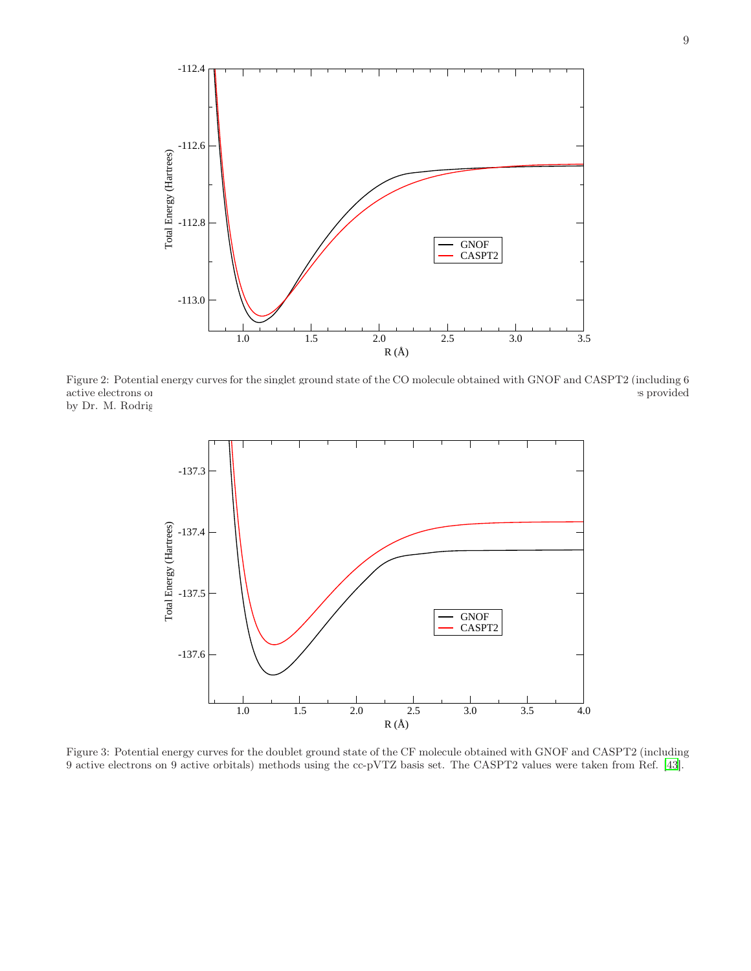

Figure 2: Potential energy curves for the singlet ground state of the CO molecule obtained with GNOF and CASPT2 (including 6 active electrons or by Dr. M. Rodrig

<span id="page-8-0"></span>

<span id="page-8-1"></span>Figure 3: Potential energy curves for the doublet ground state of the CF molecule obtained with GNOF and CASPT2 (including 9 active electrons on 9 active orbitals) methods using the cc-pVTZ basis set. The CASPT2 values were taken from Ref. [\[43](#page-6-21)].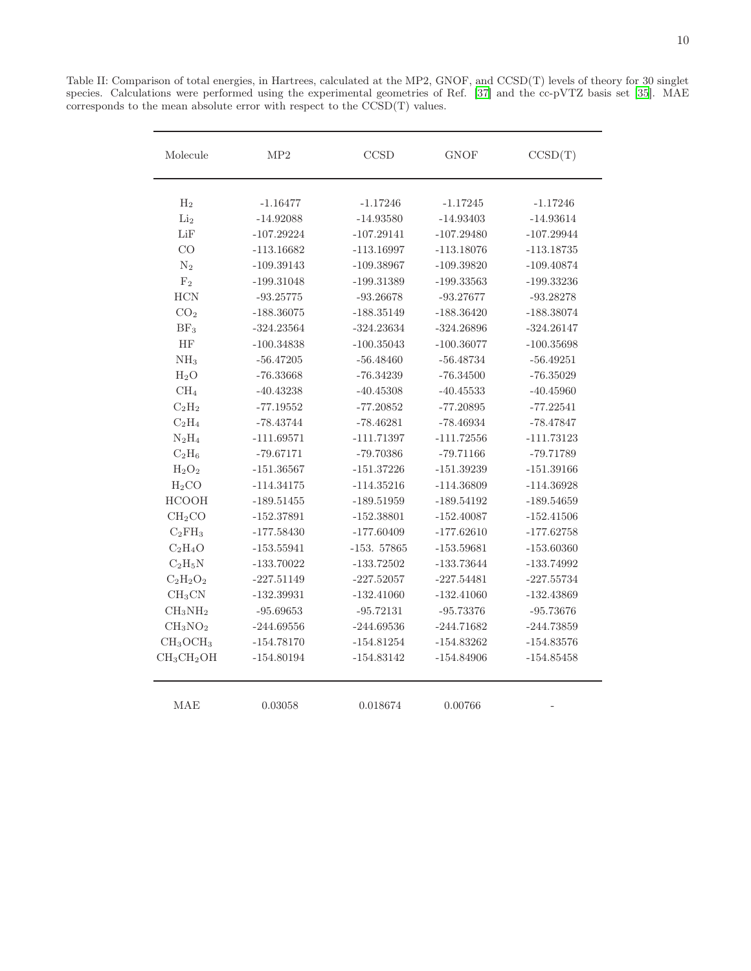<span id="page-9-0"></span>

| Molecule                         | MP2          | CCSD         | <b>GNOF</b>  | CCSD(T)      |
|----------------------------------|--------------|--------------|--------------|--------------|
| $H_2$                            | $-1.16477$   | $-1.17246$   | $-1.17245$   | $-1.17246$   |
| Li <sub>2</sub>                  | $-14.92088$  | $-14.93580$  | $-14.93403$  | $-14.93614$  |
| LiF                              | $-107.29224$ | $-107.29141$ | $-107.29480$ | $-107.29944$ |
| CO                               | $-113.16682$ | $-113.16997$ | $-113.18076$ | $-113.18735$ |
| $\mathrm{N}_2$                   | $-109.39143$ | $-109.38967$ | $-109.39820$ | $-109.40874$ |
| F <sub>2</sub>                   | $-199.31048$ | -199.31389   | $-199.33563$ | $-199.33236$ |
| <b>HCN</b>                       | $-93.25775$  | $-93.26678$  | $-93.27677$  | $-93.28278$  |
| CO <sub>2</sub>                  | $-188.36075$ | $-188.35149$ | $-188.36420$ | $-188.38074$ |
| BF <sub>3</sub>                  | $-324.23564$ | $-324.23634$ | $-324.26896$ | $-324.26147$ |
| HF                               | $-100.34838$ | $-100.35043$ | $-100.36077$ | $-100.35698$ |
| NH <sub>3</sub>                  | $-56.47205$  | $-56.48460$  | $-56.48734$  | $-56.49251$  |
| H <sub>2</sub> O                 | $-76.33668$  | $-76.34239$  | $-76.34500$  | $-76.35029$  |
| CH <sub>4</sub>                  | $-40.43238$  | $-40.45308$  | $-40.45533$  | $-40.45960$  |
| $C_2H_2$                         | $-77.19552$  | $-77.20852$  | $-77.20895$  | $-77.22541$  |
| $C_2H_4$                         | $-78.43744$  | $-78.46281$  | $-78.46934$  | $-78.47847$  |
| $N_2H_4$                         | $-111.69571$ | $-111.71397$ | $-111.72556$ | $-111.73123$ |
| $C_2H_6$                         | $-79.67171$  | $-79.70386$  | $-79.71166$  | -79.71789    |
| $H_2O_2$                         | $-151.36567$ | $-151.37226$ | $-151.39239$ | $-151.39166$ |
| H <sub>2</sub> CO                | $-114.34175$ | $-114.35216$ | $-114.36809$ | $-114.36928$ |
| <b>HCOOH</b>                     | $-189.51455$ | $-189.51959$ | $-189.54192$ | $-189.54659$ |
| CH <sub>2</sub> CO               | $-152.37891$ | $-152.38801$ | $-152.40087$ | $-152.41506$ |
| $C_2FH_3$                        | $-177.58430$ | $-177.60409$ | $-177.62610$ | $-177.62758$ |
| $C_2H_4O$                        | $-153.55941$ | $-153.57865$ | $-153.59681$ | $-153.60360$ |
| $C_2H_5N$                        | $-133.70022$ | $-133.72502$ | $-133.73644$ | $-133.74992$ |
| $C_2H_2O_2$                      | $-227.51149$ | $-227.52057$ | $-227.54481$ | $-227.55734$ |
| CH <sub>3</sub> CN               | $-132.39931$ | $-132.41060$ | $-132.41060$ | $-132.43869$ |
| $CH_3NH_2$                       | $-95.69653$  | $-95.72131$  | $-95.73376$  | $-95.73676$  |
| CH <sub>3</sub> NO <sub>2</sub>  | $-244.69556$ | $-244.69536$ | $-244.71682$ | -244.73859   |
| CH <sub>3</sub> OCH <sub>3</sub> | $-154.78170$ | $-154.81254$ | $-154.83262$ | $-154.83576$ |
| $CH_3CH_2OH$                     | $-154.80194$ | $-154.83142$ | $-154.84906$ | $-154.85458$ |

MAE 0.03058 0.018674 0.00766 -

Table II: Comparison of total energies, in Hartrees, calculated at the MP2, GNOF, and CCSD(T) levels of theory for 30 singlet species. Calculations were performed using the experimental geometries of Ref. [\[37\]](#page-6-15) and the cc-pVTZ basis set [\[35](#page-6-13)]. MAE corresponds to the mean absolute error with respect to the  $\mathit{CCSD}(T)$  values.